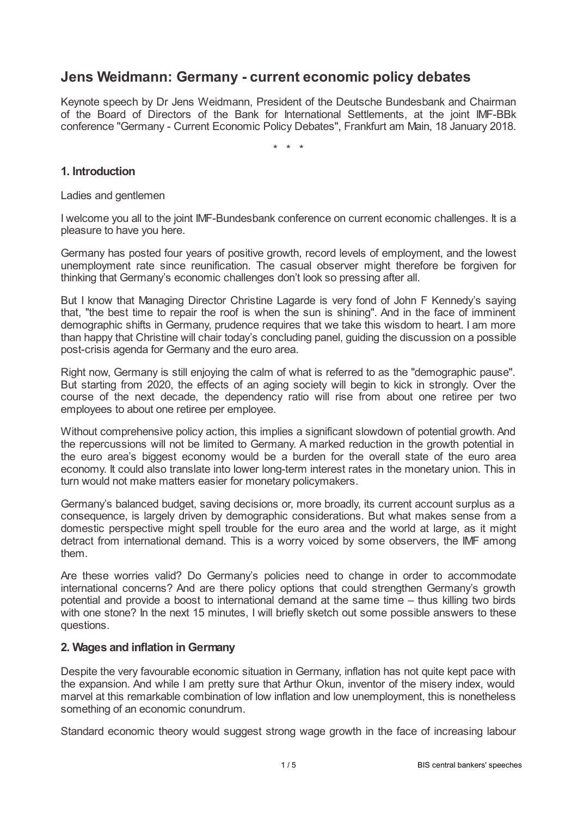# **Jens Weidmann: Germany - current economic policy debates**

Keynote speech by Dr Jens Weidmann, President of the Deutsche Bundesbank and Chairman of the Board of Directors of the Bank for International Settlements, at the joint IMF-BBk conference "Germany - Current Economic Policy Debates", Frankfurt am Main, 18 January 2018.

\* \* \*

## **1. Introduction**

Ladies and gentlemen

I welcome you all to the joint IMF-Bundesbank conference on current economic challenges. It is a pleasure to have you here.

Germany has posted four years of positive growth, record levels of employment, and the lowest unemployment rate since reunification. The casual observer might therefore be forgiven for thinking that Germany's economic challenges don't look so pressing after all.

But I know that Managing Director Christine Lagarde is very fond of John F Kennedy's saying that, "the best time to repair the roof is when the sun is shining". And in the face of imminent demographic shifts in Germany, prudence requires that we take this wisdom to heart. I am more than happy that Christine will chair today's concluding panel, guiding the discussion on a possible post-crisis agenda for Germany and the euro area.

Right now, Germany is still enjoying the calm of what is referred to as the "demographic pause". But starting from 2020, the effects of an aging society will begin to kick in strongly. Over the course of the next decade, the dependency ratio will rise from about one retiree per two employees to about one retiree per employee.

Without comprehensive policy action, this implies a significant slowdown of potential growth. And the repercussions will not be limited to Germany. A marked reduction in the growth potential in the euro area's biggest economy would be a burden for the overall state of the euro area economy. It could also translate into lower long-term interest rates in the monetary union. This in turn would not make matters easier for monetary policymakers.

Germany's balanced budget, saving decisions or, more broadly, its current account surplus as a consequence, is largely driven by demographic considerations. But what makes sense from a domestic perspective might spell trouble for the euro area and the world at large, as it might detract from international demand. This is a worry voiced by some observers, the IMF among them.

Are these worries valid? Do Germany's policies need to change in order to accommodate international concerns? And are there policy options that could strengthen Germany's growth potential and provide a boost to international demand at the same time – thus killing two birds with one stone? In the next 15 minutes, I will briefly sketch out some possible answers to these questions.

## **2. Wages and inflation in Germany**

Despite the very favourable economic situation in Germany, inflation has not quite kept pace with the expansion. And while I am pretty sure that Arthur Okun, inventor of the misery index, would marvel at this remarkable combination of low inflation and low unemployment, this is nonetheless something of an economic conundrum.

Standard economic theory would suggest strong wage growth in the face of increasing labour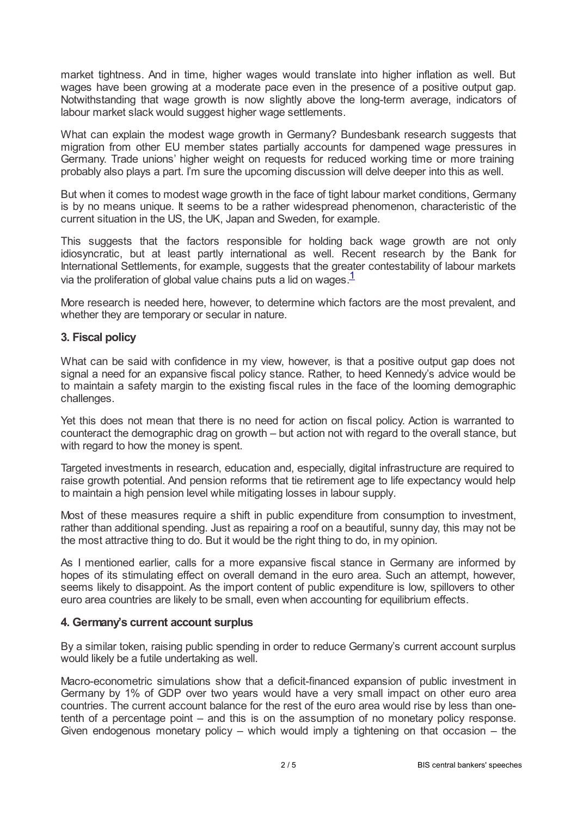market tightness. And in time, higher wages would translate into higher inflation as well. But wages have been growing at a moderate pace even in the presence of a positive output gap. Notwithstanding that wage growth is now slightly above the long-term average, indicators of labour market slack would suggest higher wage settlements.

What can explain the modest wage growth in Germany? Bundesbank research suggests that migration from other EU member states partially accounts for dampened wage pressures in Germany. Trade unions' higher weight on requests for reduced working time or more training probably also plays a part. I'm sure the upcoming discussion will delve deeper into this as well.

But when it comes to modest wage growth in the face of tight labour market conditions, Germany is by no means unique. It seems to be a rather widespread phenomenon, characteristic of the current situation in the US, the UK, Japan and Sweden, for example.

This suggests that the factors responsible for holding back wage growth are not only idiosyncratic, but at least partly international as well. Recent research by the Bank for International Settlements, for example, suggests that the greater contestability of labour markets via the proliferation of global value chains puts a lid on wages. [1](#page-4-0)

<span id="page-1-0"></span>More research is needed here, however, to determine which factors are the most prevalent, and whether they are temporary or secular in nature.

#### **3. Fiscal policy**

What can be said with confidence in my view, however, is that a positive output gap does not signal a need for an expansive fiscal policy stance. Rather, to heed Kennedy's advice would be to maintain a safety margin to the existing fiscal rules in the face of the looming demographic challenges.

Yet this does not mean that there is no need for action on fiscal policy. Action is warranted to counteract the demographic drag on growth – but action not with regard to the overall stance, but with regard to how the money is spent.

Targeted investments in research, education and, especially, digital infrastructure are required to raise growth potential. And pension reforms that tie retirement age to life expectancy would help to maintain a high pension level while mitigating losses in labour supply.

Most of these measures require a shift in public expenditure from consumption to investment, rather than additional spending. Just as repairing a roof on a beautiful, sunny day, this may not be the most attractive thing to do. But it would be the right thing to do, in my opinion.

As I mentioned earlier, calls for a more expansive fiscal stance in Germany are informed by hopes of its stimulating effect on overall demand in the euro area. Such an attempt, however, seems likely to disappoint. As the import content of public expenditure is low, spillovers to other euro area countries are likely to be small, even when accounting for equilibrium effects.

#### **4. Germany's current account surplus**

By a similar token, raising public spending in order to reduce Germany's current account surplus would likely be a futile undertaking as well.

Macro-econometric simulations show that a deficit-financed expansion of public investment in Germany by 1% of GDP over two years would have a very small impact on other euro area countries. The current account balance for the rest of the euro area would rise by less than onetenth of a percentage point – and this is on the assumption of no monetary policy response. Given endogenous monetary policy – which would imply a tightening on that occasion – the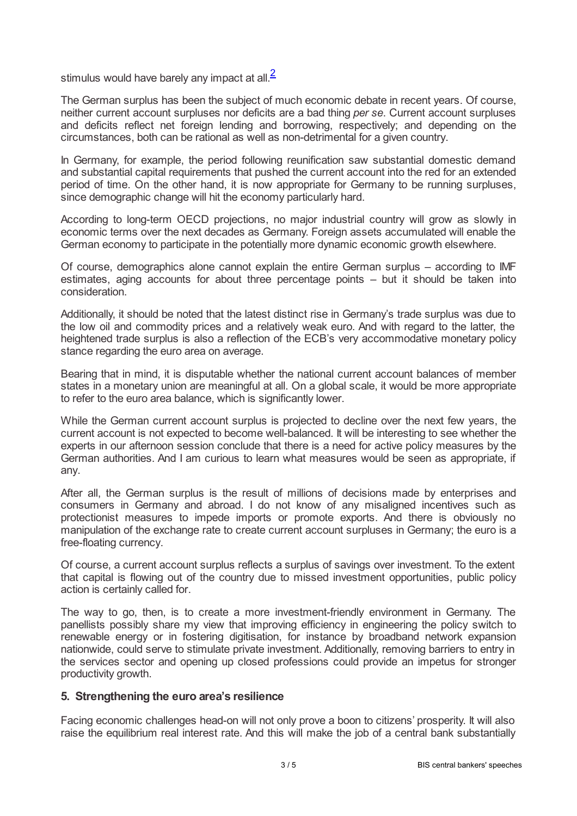<span id="page-2-0"></span>stimulus would have barely any impact at all. $^2$  $^2$ 

The German surplus has been the subject of much economic debate in recent years. Of course, neither current account surpluses nor deficits are a bad thing *per se*. Current account surpluses and deficits reflect net foreign lending and borrowing, respectively; and depending on the circumstances, both can be rational as well as non-detrimental for a given country.

In Germany, for example, the period following reunification saw substantial domestic demand and substantial capital requirements that pushed the current account into the red for an extended period of time. On the other hand, it is now appropriate for Germany to be running surpluses, since demographic change will hit the economy particularly hard.

According to long-term OECD projections, no major industrial country will grow as slowly in economic terms over the next decades as Germany. Foreign assets accumulated will enable the German economy to participate in the potentially more dynamic economic growth elsewhere.

Of course, demographics alone cannot explain the entire German surplus – according to IMF estimates, aging accounts for about three percentage points – but it should be taken into consideration.

Additionally, it should be noted that the latest distinct rise in Germany's trade surplus was due to the low oil and commodity prices and a relatively weak euro. And with regard to the latter, the heightened trade surplus is also a reflection of the ECB's very accommodative monetary policy stance regarding the euro area on average.

Bearing that in mind, it is disputable whether the national current account balances of member states in a monetary union are meaningful at all. On a global scale, it would be more appropriate to refer to the euro area balance, which is significantly lower.

While the German current account surplus is projected to decline over the next few years, the current account is not expected to become well-balanced. It will be interesting to see whether the experts in our afternoon session conclude that there is a need for active policy measures by the German authorities. And I am curious to learn what measures would be seen as appropriate, if any.

After all, the German surplus is the result of millions of decisions made by enterprises and consumers in Germany and abroad. I do not know of any misaligned incentives such as protectionist measures to impede imports or promote exports. And there is obviously no manipulation of the exchange rate to create current account surpluses in Germany; the euro is a free-floating currency.

Of course, a current account surplus reflects a surplus of savings over investment. To the extent that capital is flowing out of the country due to missed investment opportunities, public policy action is certainly called for.

The way to go, then, is to create a more investment-friendly environment in Germany. The panellists possibly share my view that improving efficiency in engineering the policy switch to renewable energy or in fostering digitisation, for instance by broadband network expansion nationwide, could serve to stimulate private investment. Additionally, removing barriers to entry in the services sector and opening up closed professions could provide an impetus for stronger productivity growth.

#### **5. Strengthening the euro area's resilience**

Facing economic challenges head-on will not only prove a boon to citizens' prosperity. It will also raise the equilibrium real interest rate. And this will make the job of a central bank substantially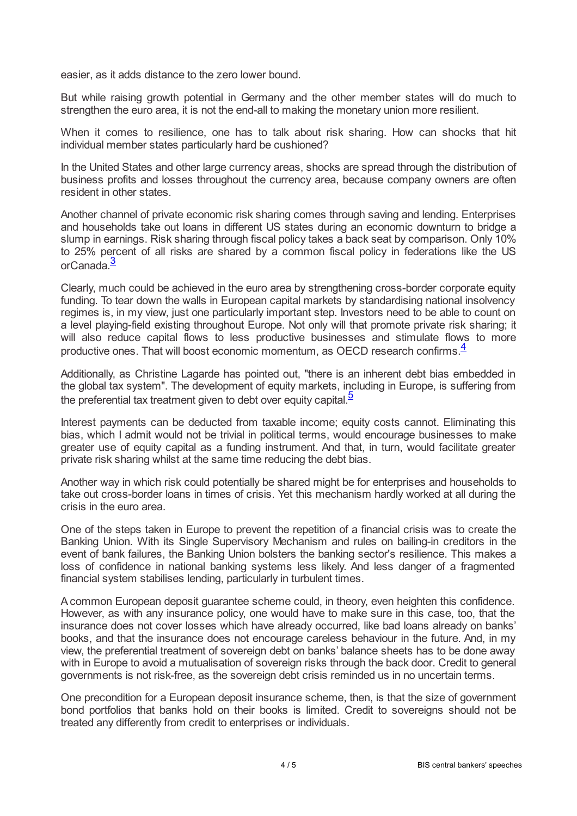easier, as it adds distance to the zero lower bound.

But while raising growth potential in Germany and the other member states will do much to strengthen the euro area, it is not the end-all to making the monetary union more resilient.

When it comes to resilience, one has to talk about risk sharing. How can shocks that hit individual member states particularly hard be cushioned?

In the United States and other large currency areas, shocks are spread through the distribution of business profits and losses throughout the currency area, because company owners are often resident in other states.

Another channel of private economic risk sharing comes through saving and lending. Enterprises and households take out loans in different US states during an economic downturn to bridge a slump in earnings. Risk sharing through fiscal policy takes a back seat by comparison. Only 10% to 25% percent of all risks are shared by a common fiscal policy in federations like the US orCanada. [3](#page-4-2)

<span id="page-3-0"></span>Clearly, much could be achieved in the euro area by strengthening cross-border corporate equity funding. To tear down the walls in European capital markets by standardising national insolvency regimes is, in my view, just one particularly important step. Investors need to be able to count on a level playing-field existing throughout Europe. Not only will that promote private risk sharing; it will also reduce capital flows to less productive businesses and stimulate flows to more productive ones. That will boost economic momentum, as OECD research confirms.<sup>[4](#page-4-3)</sup>

<span id="page-3-1"></span>Additionally, as Christine Lagarde has pointed out, "there is an inherent debt bias embedded in the global tax system". The development of equity markets, including in Europe, is suffering from the preferential tax treatment given to debt over equity capital [5](#page-4-4)

<span id="page-3-2"></span>Interest payments can be deducted from taxable income; equity costs cannot. Eliminating this bias, which I admit would not be trivial in political terms, would encourage businesses to make greater use of equity capital as a funding instrument. And that, in turn, would facilitate greater private risk sharing whilst at the same time reducing the debt bias.

Another way in which risk could potentially be shared might be for enterprises and households to take out cross-border loans in times of crisis. Yet this mechanism hardly worked at all during the crisis in the euro area.

One of the steps taken in Europe to prevent the repetition of a financial crisis was to create the Banking Union. With its Single Supervisory Mechanism and rules on bailing-in creditors in the event of bank failures, the Banking Union bolsters the banking sector's resilience. This makes a loss of confidence in national banking systems less likely. And less danger of a fragmented financial system stabilises lending, particularly in turbulent times.

Acommon European deposit guarantee scheme could, in theory, even heighten this confidence. However, as with any insurance policy, one would have to make sure in this case, too, that the insurance does not cover losses which have already occurred, like bad loans already on banks' books, and that the insurance does not encourage careless behaviour in the future. And, in my view, the preferential treatment of sovereign debt on banks' balance sheets has to be done away with in Europe to avoid a mutualisation of sovereign risks through the back door. Credit to general governments is not risk-free, as the sovereign debt crisis reminded us in no uncertain terms.

One precondition for a European deposit insurance scheme, then, is that the size of government bond portfolios that banks hold on their books is limited. Credit to sovereigns should not be treated any differently from credit to enterprises or individuals.